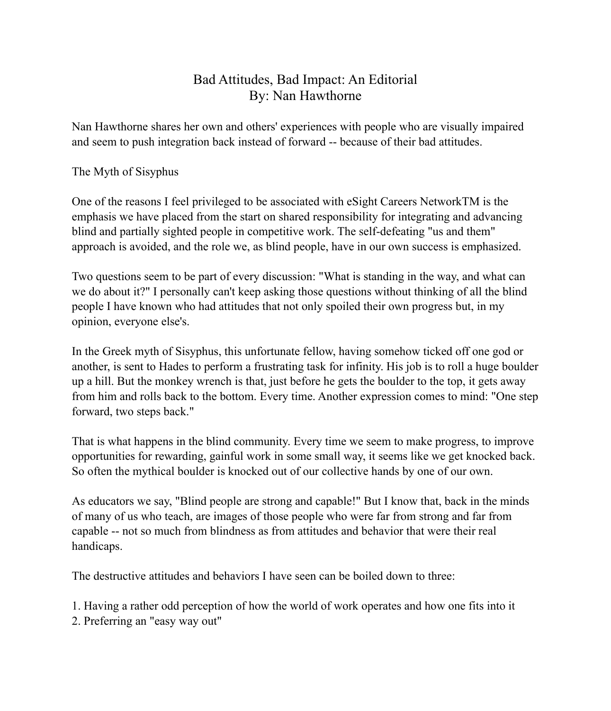# Bad Attitudes, Bad Impact: An Editorial By: Nan Hawthorne

Nan Hawthorne shares her own and others' experiences with people who are visually impaired and seem to push integration back instead of forward -- because of their bad attitudes.

## The Myth of Sisyphus

One of the reasons I feel privileged to be associated with eSight Careers NetworkTM is the emphasis we have placed from the start on shared responsibility for integrating and advancing blind and partially sighted people in competitive work. The self-defeating "us and them" approach is avoided, and the role we, as blind people, have in our own success is emphasized.

Two questions seem to be part of every discussion: "What is standing in the way, and what can we do about it?" I personally can't keep asking those questions without thinking of all the blind people I have known who had attitudes that not only spoiled their own progress but, in my opinion, everyone else's.

In the Greek myth of Sisyphus, this unfortunate fellow, having somehow ticked off one god or another, is sent to Hades to perform a frustrating task for infinity. His job is to roll a huge boulder up a hill. But the monkey wrench is that, just before he gets the boulder to the top, it gets away from him and rolls back to the bottom. Every time. Another expression comes to mind: "One step forward, two steps back."

That is what happens in the blind community. Every time we seem to make progress, to improve opportunities for rewarding, gainful work in some small way, it seems like we get knocked back. So often the mythical boulder is knocked out of our collective hands by one of our own.

As educators we say, "Blind people are strong and capable!" But I know that, back in the minds of many of us who teach, are images of those people who were far from strong and far from capable -- not so much from blindness as from attitudes and behavior that were their real handicaps.

The destructive attitudes and behaviors I have seen can be boiled down to three:

1. Having a rather odd perception of how the world of work operates and how one fits into it 2. Preferring an "easy way out"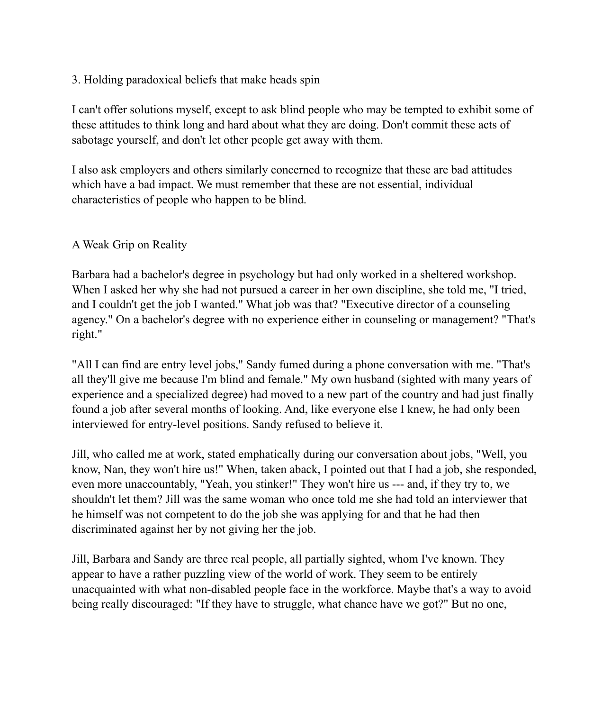## 3. Holding paradoxical beliefs that make heads spin

I can't offer solutions myself, except to ask blind people who may be tempted to exhibit some of these attitudes to think long and hard about what they are doing. Don't commit these acts of sabotage yourself, and don't let other people get away with them.

I also ask employers and others similarly concerned to recognize that these are bad attitudes which have a bad impact. We must remember that these are not essential, individual characteristics of people who happen to be blind.

## A Weak Grip on Reality

Barbara had a bachelor's degree in psychology but had only worked in a sheltered workshop. When I asked her why she had not pursued a career in her own discipline, she told me, "I tried, and I couldn't get the job I wanted." What job was that? "Executive director of a counseling agency." On a bachelor's degree with no experience either in counseling or management? "That's right."

"All I can find are entry level jobs," Sandy fumed during a phone conversation with me. "That's all they'll give me because I'm blind and female." My own husband (sighted with many years of experience and a specialized degree) had moved to a new part of the country and had just finally found a job after several months of looking. And, like everyone else I knew, he had only been interviewed for entry-level positions. Sandy refused to believe it.

Jill, who called me at work, stated emphatically during our conversation about jobs, "Well, you know, Nan, they won't hire us!" When, taken aback, I pointed out that I had a job, she responded, even more unaccountably, "Yeah, you stinker!" They won't hire us --- and, if they try to, we shouldn't let them? Jill was the same woman who once told me she had told an interviewer that he himself was not competent to do the job she was applying for and that he had then discriminated against her by not giving her the job.

Jill, Barbara and Sandy are three real people, all partially sighted, whom I've known. They appear to have a rather puzzling view of the world of work. They seem to be entirely unacquainted with what non-disabled people face in the workforce. Maybe that's a way to avoid being really discouraged: "If they have to struggle, what chance have we got?" But no one,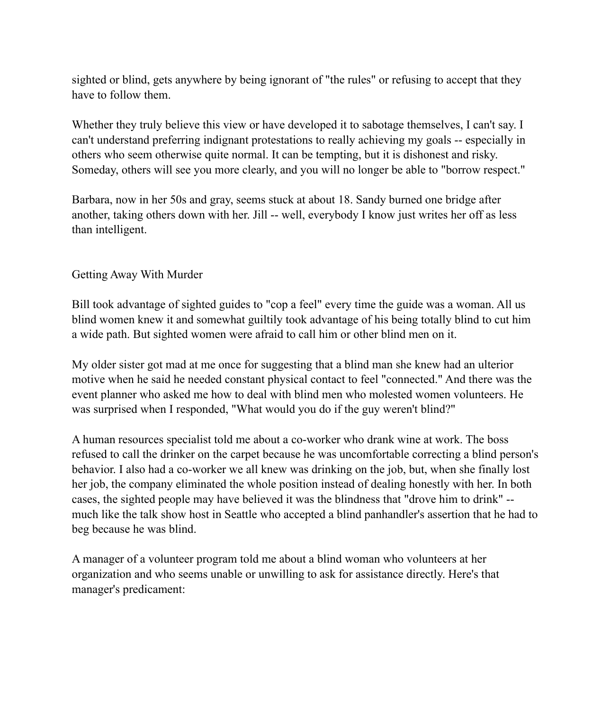sighted or blind, gets anywhere by being ignorant of "the rules" or refusing to accept that they have to follow them.

Whether they truly believe this view or have developed it to sabotage themselves, I can't say. I can't understand preferring indignant protestations to really achieving my goals -- especially in others who seem otherwise quite normal. It can be tempting, but it is dishonest and risky. Someday, others will see you more clearly, and you will no longer be able to "borrow respect."

Barbara, now in her 50s and gray, seems stuck at about 18. Sandy burned one bridge after another, taking others down with her. Jill -- well, everybody I know just writes her off as less than intelligent.

#### Getting Away With Murder

Bill took advantage of sighted guides to "cop a feel" every time the guide was a woman. All us blind women knew it and somewhat guiltily took advantage of his being totally blind to cut him a wide path. But sighted women were afraid to call him or other blind men on it.

My older sister got mad at me once for suggesting that a blind man she knew had an ulterior motive when he said he needed constant physical contact to feel "connected." And there was the event planner who asked me how to deal with blind men who molested women volunteers. He was surprised when I responded, "What would you do if the guy weren't blind?"

A human resources specialist told me about a co-worker who drank wine at work. The boss refused to call the drinker on the carpet because he was uncomfortable correcting a blind person's behavior. I also had a co-worker we all knew was drinking on the job, but, when she finally lost her job, the company eliminated the whole position instead of dealing honestly with her. In both cases, the sighted people may have believed it was the blindness that "drove him to drink" - much like the talk show host in Seattle who accepted a blind panhandler's assertion that he had to beg because he was blind.

A manager of a volunteer program told me about a blind woman who volunteers at her organization and who seems unable or unwilling to ask for assistance directly. Here's that manager's predicament: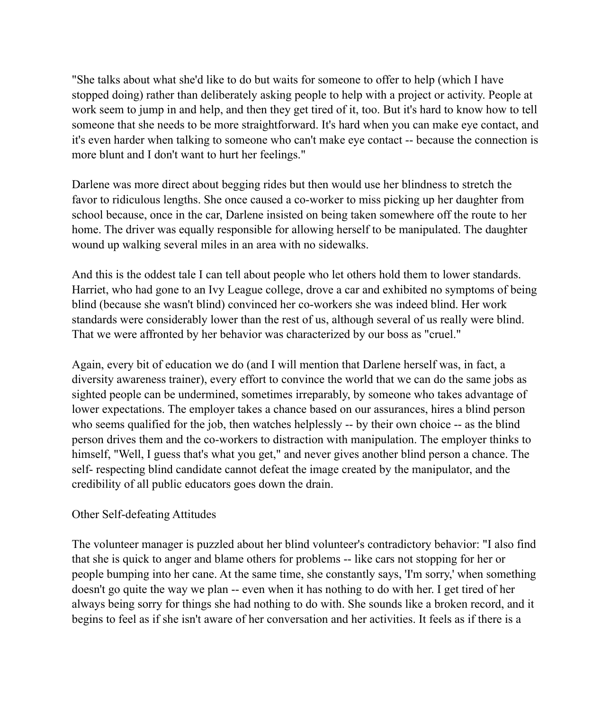"She talks about what she'd like to do but waits for someone to offer to help (which I have stopped doing) rather than deliberately asking people to help with a project or activity. People at work seem to jump in and help, and then they get tired of it, too. But it's hard to know how to tell someone that she needs to be more straightforward. It's hard when you can make eye contact, and it's even harder when talking to someone who can't make eye contact -- because the connection is more blunt and I don't want to hurt her feelings."

Darlene was more direct about begging rides but then would use her blindness to stretch the favor to ridiculous lengths. She once caused a co-worker to miss picking up her daughter from school because, once in the car, Darlene insisted on being taken somewhere off the route to her home. The driver was equally responsible for allowing herself to be manipulated. The daughter wound up walking several miles in an area with no sidewalks.

And this is the oddest tale I can tell about people who let others hold them to lower standards. Harriet, who had gone to an Ivy League college, drove a car and exhibited no symptoms of being blind (because she wasn't blind) convinced her co-workers she was indeed blind. Her work standards were considerably lower than the rest of us, although several of us really were blind. That we were affronted by her behavior was characterized by our boss as "cruel."

Again, every bit of education we do (and I will mention that Darlene herself was, in fact, a diversity awareness trainer), every effort to convince the world that we can do the same jobs as sighted people can be undermined, sometimes irreparably, by someone who takes advantage of lower expectations. The employer takes a chance based on our assurances, hires a blind person who seems qualified for the job, then watches helplessly -- by their own choice -- as the blind person drives them and the co-workers to distraction with manipulation. The employer thinks to himself, "Well, I guess that's what you get," and never gives another blind person a chance. The self- respecting blind candidate cannot defeat the image created by the manipulator, and the credibility of all public educators goes down the drain.

#### Other Self-defeating Attitudes

The volunteer manager is puzzled about her blind volunteer's contradictory behavior: "I also find that she is quick to anger and blame others for problems -- like cars not stopping for her or people bumping into her cane. At the same time, she constantly says, 'I'm sorry,' when something doesn't go quite the way we plan -- even when it has nothing to do with her. I get tired of her always being sorry for things she had nothing to do with. She sounds like a broken record, and it begins to feel as if she isn't aware of her conversation and her activities. It feels as if there is a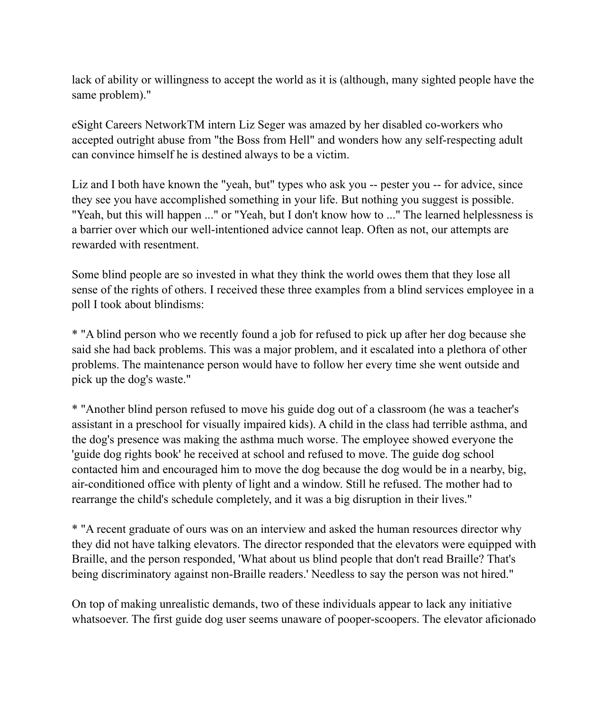lack of ability or willingness to accept the world as it is (although, many sighted people have the same problem)."

eSight Careers NetworkTM intern Liz Seger was amazed by her disabled co-workers who accepted outright abuse from "the Boss from Hell" and wonders how any self-respecting adult can convince himself he is destined always to be a victim.

Liz and I both have known the "yeah, but" types who ask you -- pester you -- for advice, since they see you have accomplished something in your life. But nothing you suggest is possible. "Yeah, but this will happen ..." or "Yeah, but I don't know how to ..." The learned helplessness is a barrier over which our well-intentioned advice cannot leap. Often as not, our attempts are rewarded with resentment.

Some blind people are so invested in what they think the world owes them that they lose all sense of the rights of others. I received these three examples from a blind services employee in a poll I took about blindisms:

\* "A blind person who we recently found a job for refused to pick up after her dog because she said she had back problems. This was a major problem, and it escalated into a plethora of other problems. The maintenance person would have to follow her every time she went outside and pick up the dog's waste."

\* "Another blind person refused to move his guide dog out of a classroom (he was a teacher's assistant in a preschool for visually impaired kids). A child in the class had terrible asthma, and the dog's presence was making the asthma much worse. The employee showed everyone the 'guide dog rights book' he received at school and refused to move. The guide dog school contacted him and encouraged him to move the dog because the dog would be in a nearby, big, air-conditioned office with plenty of light and a window. Still he refused. The mother had to rearrange the child's schedule completely, and it was a big disruption in their lives."

\* "A recent graduate of ours was on an interview and asked the human resources director why they did not have talking elevators. The director responded that the elevators were equipped with Braille, and the person responded, 'What about us blind people that don't read Braille? That's being discriminatory against non-Braille readers.' Needless to say the person was not hired."

On top of making unrealistic demands, two of these individuals appear to lack any initiative whatsoever. The first guide dog user seems unaware of pooper-scoopers. The elevator aficionado